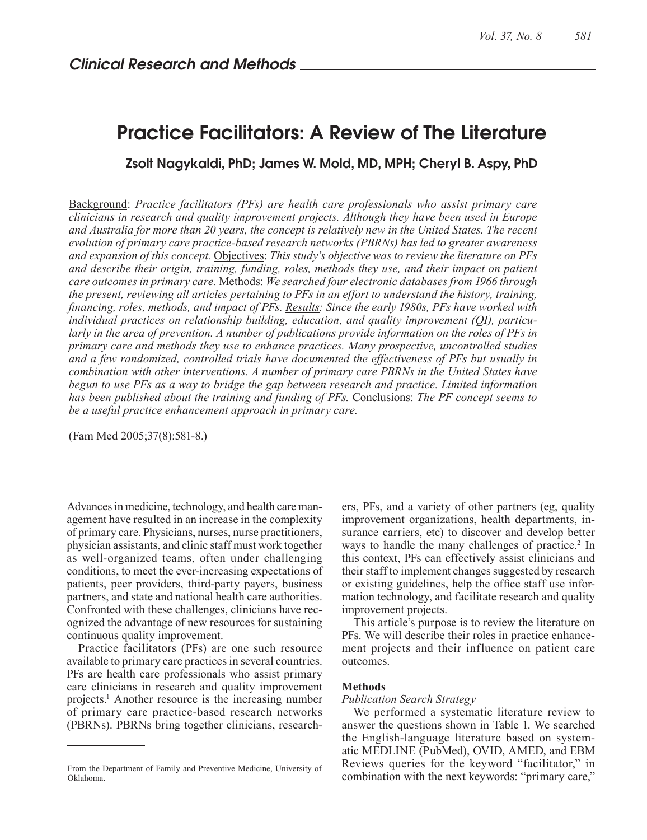# Practice Facilitators: A Review of The Literature

### Zsolt Nagykaldi, PhD; James W. Mold, MD, MPH; Cheryl B. Aspy, PhD

Background: *Practice facilitators (PFs) are health care professionals who assist primary care clinicians in research and quality improvement projects. Although they have been used in Europe and Australia for more than 20 years, the concept is relatively new in the United States. The recent evolution of primary care practice-based research networks (PBRNs) has led to greater awareness and expansion of this concept.* Objectives: *This study's objective was to review the literature on PFs and describe their origin, training, funding, roles, methods they use, and their impact on patient care outcomes in primary care.* Methods: *We searched four electronic databases from 1966 through the present, reviewing all articles pertaining to PFs in an effort to understand the history, training, financing, roles, methods, and impact of PFs. Results: Since the early 1980s, PFs have worked with individual practices on relationship building, education, and quality improvement (QI), particularly in the area of prevention. A number of publications provide information on the roles of PFs in primary care and methods they use to enhance practices. Many prospective, uncontrolled studies and a few randomized, controlled trials have documented the effectiveness of PFs but usually in combination with other interventions. A number of primary care PBRNs in the United States have begun to use PFs as a way to bridge the gap between research and practice. Limited information has been published about the training and funding of PFs.* Conclusions: *The PF concept seems to be a useful practice enhancement approach in primary care.*

(Fam Med 2005;37(8):581-8.)

Advances in medicine, technology, and health care management have resulted in an increase in the complexity of primary care. Physicians, nurses, nurse practitioners, physician assistants, and clinic staff must work together as well-organized teams, often under challenging conditions, to meet the ever-increasing expectations of patients, peer providers, third-party payers, business partners, and state and national health care authorities. Confronted with these challenges, clinicians have recognized the advantage of new resources for sustaining continuous quality improvement.

Practice facilitators (PFs) are one such resource available to primary care practices in several countries. PFs are health care professionals who assist primary care clinicians in research and quality improvement projects.1 Another resource is the increasing number of primary care practice-based research networks (PBRNs). PBRNs bring together clinicians, research-

From the Department of Family and Preventive Medicine, University of Oklahoma.

ers, PFs, and a variety of other partners (eg, quality improvement organizations, health departments, insurance carriers, etc) to discover and develop better ways to handle the many challenges of practice.<sup>2</sup> In this context, PFs can effectively assist clinicians and their staff to implement changes suggested by research or existing guidelines, help the office staff use information technology, and facilitate research and quality improvement projects.

This article's purpose is to review the literature on PFs. We will describe their roles in practice enhancement projects and their influence on patient care outcomes.

#### **Methods**

#### *Publication Search Strategy*

We performed a systematic literature review to answer the questions shown in Table 1. We searched the English-language literature based on systematic MEDLINE (PubMed), OVID, AMED, and EBM Reviews queries for the keyword "facilitator," in combination with the next keywords: "primary care,"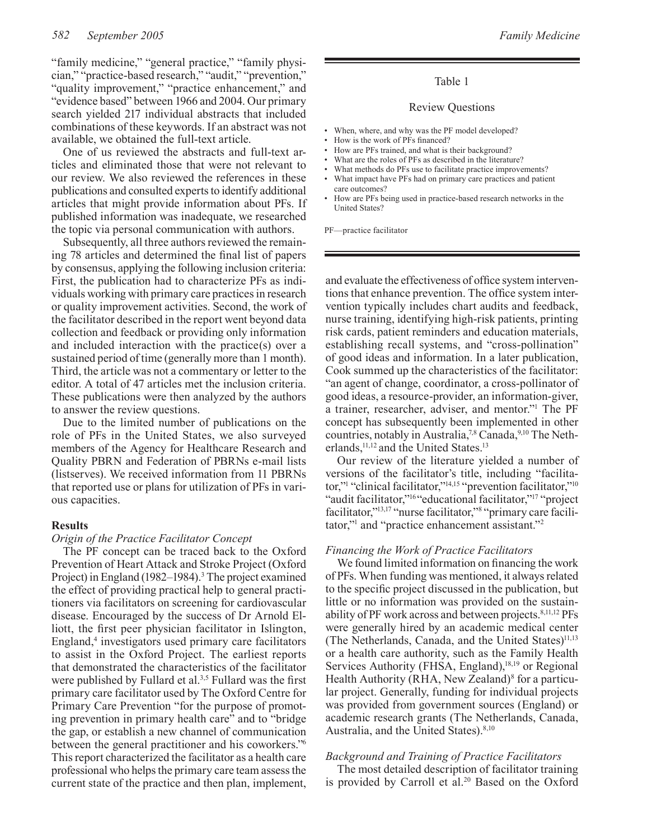"family medicine," "general practice," "family physician," "practice-based research," "audit," "prevention," "quality improvement," "practice enhancement," and "evidence based" between 1966 and 2004. Our primary search yielded 217 individual abstracts that included combinations of these keywords. If an abstract was not available, we obtained the full-text article.

One of us reviewed the abstracts and full-text articles and eliminated those that were not relevant to our review. We also reviewed the references in these publications and consulted experts to identify additional articles that might provide information about PFs. If published information was inadequate, we researched the topic via personal communication with authors.

Subsequently, all three authors reviewed the remaining 78 articles and determined the final list of papers by consensus, applying the following inclusion criteria: First, the publication had to characterize PFs as individuals working with primary care practices in research or quality improvement activities. Second, the work of the facilitator described in the report went beyond data collection and feedback or providing only information and included interaction with the practice(s) over a sustained period of time (generally more than 1 month). Third, the article was not a commentary or letter to the editor. A total of 47 articles met the inclusion criteria. These publications were then analyzed by the authors to answer the review questions.

Due to the limited number of publications on the role of PFs in the United States, we also surveyed members of the Agency for Healthcare Research and Quality PBRN and Federation of PBRNs e-mail lists (listserves). We received information from 11 PBRNs that reported use or plans for utilization of PFs in various capacities.

#### **Results**

#### *Origin of the Practice Facilitator Concept*

The PF concept can be traced back to the Oxford Prevention of Heart Attack and Stroke Project (Oxford Project) in England (1982–1984).<sup>3</sup> The project examined the effect of providing practical help to general practitioners via facilitators on screening for cardiovascular disease. Encouraged by the success of Dr Arnold Elliott, the first peer physician facilitator in Islington, England,<sup>4</sup> investigators used primary care facilitators to assist in the Oxford Project. The earliest reports that demonstrated the characteristics of the facilitator were published by Fullard et al.<sup>3,5</sup> Fullard was the first primary care facilitator used by The Oxford Centre for Primary Care Prevention "for the purpose of promoting prevention in primary health care" and to "bridge the gap, or establish a new channel of communication between the general practitioner and his coworkers."6 This report characterized the facilitator as a health care professional who helps the primary care team assess the current state of the practice and then plan, implement,

#### Table 1

#### Review Questions

- When, where, and why was the PF model developed?
- How is the work of PFs financed?
- How are PFs trained, and what is their background?
- What are the roles of PFs as described in the literature?
- What methods do PFs use to facilitate practice improvements?
- What impact have PFs had on primary care practices and patient care outcomes?
- How are PFs being used in practice-based research networks in the United States?

PF—practice facilitator

and evaluate the effectiveness of office system interventions that enhance prevention. The office system intervention typically includes chart audits and feedback, nurse training, identifying high-risk patients, printing risk cards, patient reminders and education materials, establishing recall systems, and "cross-pollination" of good ideas and information. In a later publication, Cook summed up the characteristics of the facilitator: "an agent of change, coordinator, a cross-pollinator of good ideas, a resource-provider, an information-giver, a trainer, researcher, adviser, and mentor."1 The PF concept has subsequently been implemented in other countries, notably in Australia,<sup>7,8</sup> Canada, $9,10$  The Netherlands,<sup>11,12</sup> and the United States.<sup>13</sup>

Our review of the literature yielded a number of versions of the facilitator's title, including "facilitator,"1 "clinical facilitator,"14,15 "prevention facilitator,"10 "audit facilitator,"<sup>16</sup>"educational facilitator,"<sup>17</sup> "project facilitator,"<sup>13,17</sup> "nurse facilitator,"<sup>8</sup> "primary care facilitator,"1 and "practice enhancement assistant."2

#### *Financing the Work of Practice Facilitators*

We found limited information on financing the work of PFs. When funding was mentioned, it always related to the specific project discussed in the publication, but little or no information was provided on the sustainability of PF work across and between projects.<sup>8,11,12</sup> PFs were generally hired by an academic medical center (The Netherlands, Canada, and the United States)<sup>11,13</sup> or a health care authority, such as the Family Health Services Authority (FHSA, England),<sup>18,19</sup> or Regional Health Authority (RHA, New Zealand)<sup>8</sup> for a particular project. Generally, funding for individual projects was provided from government sources (England) or academic research grants (The Netherlands, Canada, Australia, and the United States).<sup>8,10</sup>

#### *Background and Training of Practice Facilitators*

The most detailed description of facilitator training is provided by Carroll et al.<sup>20</sup> Based on the Oxford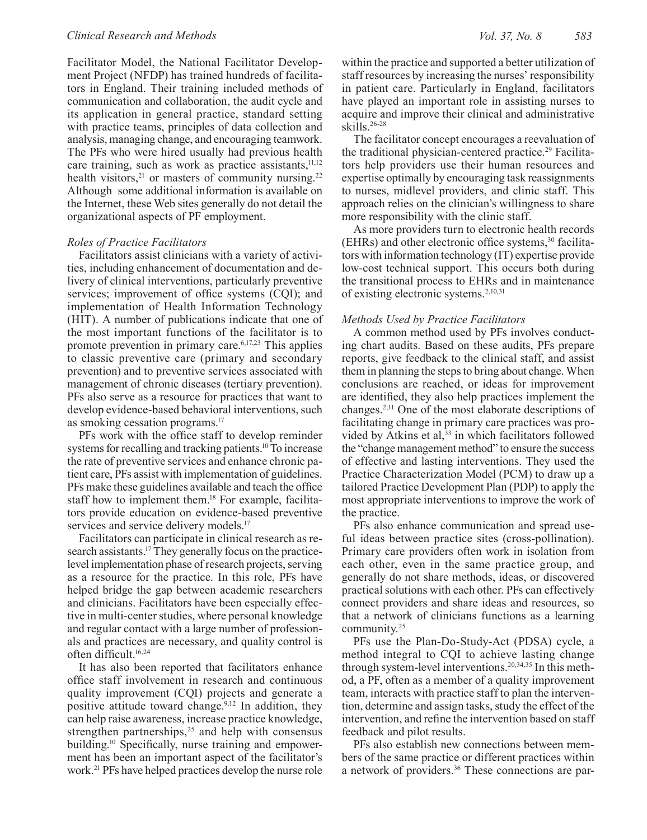Facilitator Model, the National Facilitator Development Project (NFDP) has trained hundreds of facilitators in England. Their training included methods of communication and collaboration, the audit cycle and its application in general practice, standard setting with practice teams, principles of data collection and analysis, managing change, and encouraging teamwork. The PFs who were hired usually had previous health care training, such as work as practice assistants, $11,12$ health visitors, $21$  or masters of community nursing.<sup>22</sup> Although some additional information is available on the Internet, these Web sites generally do not detail the organizational aspects of PF employment.

#### *Roles of Practice Facilitators*

Facilitators assist clinicians with a variety of activities, including enhancement of documentation and delivery of clinical interventions, particularly preventive services; improvement of office systems (CQI); and implementation of Health Information Technology (HIT). A number of publications indicate that one of the most important functions of the facilitator is to promote prevention in primary care.6,17,23 This applies to classic preventive care (primary and secondary prevention) and to preventive services associated with management of chronic diseases (tertiary prevention). PFs also serve as a resource for practices that want to develop evidence-based behavioral interventions, such as smoking cessation programs.17

PFs work with the office staff to develop reminder systems for recalling and tracking patients.<sup>10</sup> To increase the rate of preventive services and enhance chronic patient care, PFs assist with implementation of guidelines. PFs make these guidelines available and teach the office staff how to implement them.<sup>18</sup> For example, facilitators provide education on evidence-based preventive services and service delivery models.<sup>17</sup>

Facilitators can participate in clinical research as research assistants.<sup>17</sup> They generally focus on the practicelevel implementation phase of research projects, serving as a resource for the practice. In this role, PFs have helped bridge the gap between academic researchers and clinicians. Facilitators have been especially effective in multi-center studies, where personal knowledge and regular contact with a large number of professionals and practices are necessary, and quality control is often difficult.16,24

It has also been reported that facilitators enhance office staff involvement in research and continuous quality improvement (CQI) projects and generate a positive attitude toward change.<sup>9,12</sup> In addition, they can help raise awareness, increase practice knowledge, strengthen partnerships, $25$  and help with consensus building.10 Specifically, nurse training and empowerment has been an important aspect of the facilitator's work.21 PFs have helped practices develop the nurse role

within the practice and supported a better utilization of staff resources by increasing the nurses' responsibility in patient care. Particularly in England, facilitators have played an important role in assisting nurses to acquire and improve their clinical and administrative skills.26-28

The facilitator concept encourages a reevaluation of the traditional physician-centered practice.29 Facilitators help providers use their human resources and expertise optimally by encouraging task reassignments to nurses, midlevel providers, and clinic staff. This approach relies on the clinician's willingness to share more responsibility with the clinic staff.

As more providers turn to electronic health records (EHRs) and other electronic office systems,30 facilitators with information technology (IT) expertise provide low-cost technical support. This occurs both during the transitional process to EHRs and in maintenance of existing electronic systems.2,10,31

#### *Methods Used by Practice Facilitators*

A common method used by PFs involves conducting chart audits. Based on these audits, PFs prepare reports, give feedback to the clinical staff, and assist them in planning the steps to bring about change. When conclusions are reached, or ideas for improvement are identified, they also help practices implement the changes.2,11 One of the most elaborate descriptions of facilitating change in primary care practices was provided by Atkins et al, $33$  in which facilitators followed the "change management method" to ensure the success of effective and lasting interventions. They used the Practice Characterization Model (PCM) to draw up a tailored Practice Development Plan (PDP) to apply the most appropriate interventions to improve the work of the practice.

PFs also enhance communication and spread useful ideas between practice sites (cross-pollination). Primary care providers often work in isolation from each other, even in the same practice group, and generally do not share methods, ideas, or discovered practical solutions with each other. PFs can effectively connect providers and share ideas and resources, so that a network of clinicians functions as a learning community.25

PFs use the Plan-Do-Study-Act (PDSA) cycle, a method integral to CQI to achieve lasting change through system-level interventions.<sup>20,34,35</sup> In this method, a PF, often as a member of a quality improvement team, interacts with practice staff to plan the intervention, determine and assign tasks, study the effect of the intervention, and refine the intervention based on staff feedback and pilot results.

PFs also establish new connections between members of the same practice or different practices within a network of providers.36 These connections are par-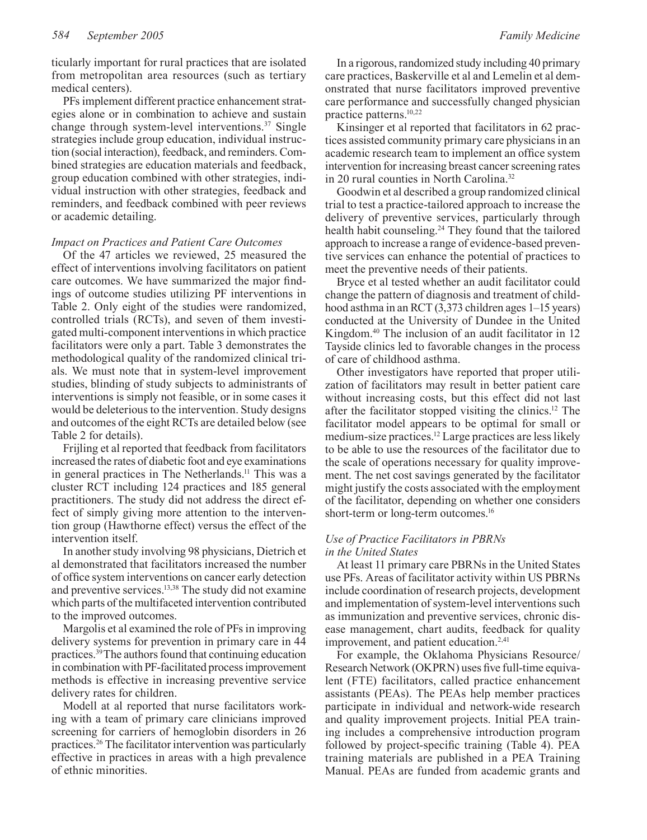ticularly important for rural practices that are isolated from metropolitan area resources (such as tertiary medical centers).

PFs implement different practice enhancement strategies alone or in combination to achieve and sustain change through system-level interventions.<sup>37</sup> Single strategies include group education, individual instruction (social interaction), feedback, and reminders. Combined strategies are education materials and feedback, group education combined with other strategies, individual instruction with other strategies, feedback and reminders, and feedback combined with peer reviews or academic detailing.

#### *Impact on Practices and Patient Care Outcomes*

Of the 47 articles we reviewed, 25 measured the effect of interventions involving facilitators on patient care outcomes. We have summarized the major findings of outcome studies utilizing PF interventions in Table 2. Only eight of the studies were randomized, controlled trials (RCTs), and seven of them investigated multi-component interventions in which practice facilitators were only a part. Table 3 demonstrates the methodological quality of the randomized clinical trials. We must note that in system-level improvement studies, blinding of study subjects to administrants of interventions is simply not feasible, or in some cases it would be deleterious to the intervention. Study designs and outcomes of the eight RCTs are detailed below (see Table 2 for details).

Frijling et al reported that feedback from facilitators increased the rates of diabetic foot and eye examinations in general practices in The Netherlands.<sup>11</sup> This was a cluster RCT including 124 practices and 185 general practitioners. The study did not address the direct effect of simply giving more attention to the intervention group (Hawthorne effect) versus the effect of the intervention itself.

In another study involving 98 physicians, Dietrich et al demonstrated that facilitators increased the number of office system interventions on cancer early detection and preventive services.13,38 The study did not examine which parts of the multifaceted intervention contributed to the improved outcomes.

Margolis et al examined the role of PFs in improving delivery systems for prevention in primary care in 44 practices.39 The authors found that continuing education in combination with PF-facilitated process improvement methods is effective in increasing preventive service delivery rates for children.

Modell at al reported that nurse facilitators working with a team of primary care clinicians improved screening for carriers of hemoglobin disorders in 26 practices.26 The facilitator intervention was particularly effective in practices in areas with a high prevalence of ethnic minorities.

In a rigorous, randomized study including 40 primary care practices, Baskerville et al and Lemelin et al demonstrated that nurse facilitators improved preventive care performance and successfully changed physician practice patterns.10,22

Kinsinger et al reported that facilitators in 62 practices assisted community primary care physicians in an academic research team to implement an office system intervention for increasing breast cancer screening rates in 20 rural counties in North Carolina.<sup>32</sup>

Goodwin et al described a group randomized clinical trial to test a practice-tailored approach to increase the delivery of preventive services, particularly through health habit counseling.<sup>24</sup> They found that the tailored approach to increase a range of evidence-based preventive services can enhance the potential of practices to meet the preventive needs of their patients.

Bryce et al tested whether an audit facilitator could change the pattern of diagnosis and treatment of childhood asthma in an RCT (3,373 children ages 1–15 years) conducted at the University of Dundee in the United Kingdom.40 The inclusion of an audit facilitator in 12 Tayside clinics led to favorable changes in the process of care of childhood asthma.

Other investigators have reported that proper utilization of facilitators may result in better patient care without increasing costs, but this effect did not last after the facilitator stopped visiting the clinics.12 The facilitator model appears to be optimal for small or medium-size practices.12 Large practices are less likely to be able to use the resources of the facilitator due to the scale of operations necessary for quality improvement. The net cost savings generated by the facilitator might justify the costs associated with the employment of the facilitator, depending on whether one considers short-term or long-term outcomes.<sup>16</sup>

#### *Use of Practice Facilitators in PBRNs in the United States*

At least 11 primary care PBRNs in the United States use PFs. Areas of facilitator activity within US PBRNs include coordination of research projects, development and implementation of system-level interventions such as immunization and preventive services, chronic disease management, chart audits, feedback for quality improvement, and patient education.<sup>2,41</sup>

For example, the Oklahoma Physicians Resource/ Research Network (OKPRN) uses five full-time equivalent (FTE) facilitators, called practice enhancement assistants (PEAs). The PEAs help member practices participate in individual and network-wide research and quality improvement projects. Initial PEA training includes a comprehensive introduction program followed by project-specific training (Table 4). PEA training materials are published in a PEA Training Manual. PEAs are funded from academic grants and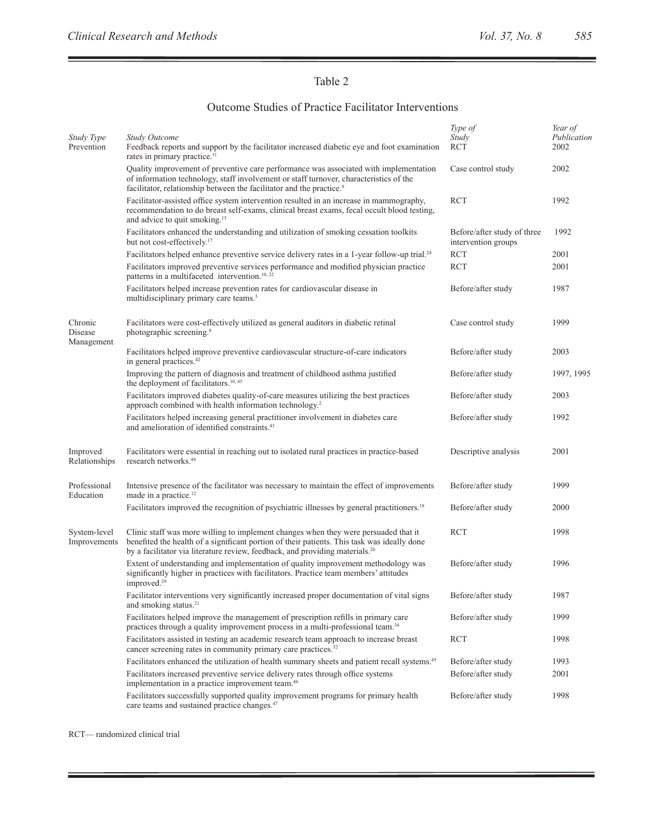$\equiv$ 

Ē,

## Table 2

### Outcome Studies of Practice Facilitator Interventions

| Study Type<br>Prevention         | <b>Study Outcome</b><br>Feedback reports and support by the facilitator increased diabetic eye and foot examination<br>rates in primary practice. <sup>11</sup>                                                                                                                | Type of<br>Study<br><b>RCT</b>                     | Year of<br>Publication<br>2002 |
|----------------------------------|--------------------------------------------------------------------------------------------------------------------------------------------------------------------------------------------------------------------------------------------------------------------------------|----------------------------------------------------|--------------------------------|
|                                  | Quality improvement of preventive care performance was associated with implementation<br>of information technology, staff involvement or staff turnover, characteristics of the<br>facilitator, relationship between the facilitator and the practice. <sup>9</sup>            | Case control study                                 | 2002                           |
|                                  | Facilitator-assisted office system intervention resulted in an increase in mammography,<br>recommendation to do breast self-exams, clinical breast exams, fecal occult blood testing,<br>and advice to quit smoking. <sup>13</sup>                                             | <b>RCT</b>                                         | 1992                           |
|                                  | Facilitators enhanced the understanding and utilization of smoking cessation toolkits<br>but not cost-effectively. <sup>17</sup>                                                                                                                                               | Before/after study of three<br>intervention groups | 1992                           |
|                                  | Facilitators helped enhance preventive service delivery rates in a 1-year follow-up trial. <sup>24</sup>                                                                                                                                                                       | <b>RCT</b>                                         | 2001                           |
|                                  | Facilitators improved preventive services performance and modified physician practice<br>patterns in a multifaceted intervention. <sup>10, 22</sup>                                                                                                                            | <b>RCT</b>                                         | 2001                           |
|                                  | Facilitators helped increase prevention rates for cardiovascular disease in<br>multidisciplinary primary care teams. <sup>3</sup>                                                                                                                                              | Before/after study                                 | 1987                           |
| Chronic<br>Disease<br>Management | Facilitators were cost-effectively utilized as general auditors in diabetic retinal<br>photographic screening. <sup>8</sup>                                                                                                                                                    | Case control study                                 | 1999                           |
|                                  | Facilitators helped improve preventive cardiovascular structure-of-care indicators<br>in general practices. <sup>42</sup>                                                                                                                                                      | Before/after study                                 | 2003                           |
|                                  | Improving the pattern of diagnosis and treatment of childhood asthma justified<br>the deployment of facilitators. <sup>10, 45</sup>                                                                                                                                            | Before/after study                                 | 1997, 1995                     |
|                                  | Facilitators improved diabetes quality-of-care measures utilizing the best practices<br>approach combined with health information technology. <sup>2</sup>                                                                                                                     | Before/after study                                 | 2003                           |
|                                  | Facilitators helped increasing general practitioner involvement in diabetes care<br>and amelioration of identified constraints. <sup>43</sup>                                                                                                                                  | Before/after study                                 | 1992                           |
| Improved<br>Relationships        | Facilitators were essential in reaching out to isolated rural practices in practice-based<br>research networks. <sup>44</sup>                                                                                                                                                  | Descriptive analysis                               | 2001                           |
| Professional<br>Education        | Intensive presence of the facilitator was necessary to maintain the effect of improvements<br>made in a practice. <sup>12</sup>                                                                                                                                                | Before/after study                                 | 1999                           |
|                                  | Facilitators improved the recognition of psychiatric illnesses by general practitioners. <sup>18</sup>                                                                                                                                                                         | Before/after study                                 | 2000                           |
| System-level<br>Improvements     | Clinic staff was more willing to implement changes when they were persuaded that it<br>benefited the health of a significant portion of their patients. This task was ideally done<br>by a facilitator via literature review, feedback, and providing materials. <sup>26</sup> | <b>RCT</b>                                         | 1998                           |
|                                  | Extent of understanding and implementation of quality improvement methodology was<br>significantly higher in practices with facilitators. Practice team members' attitudes<br>improved. <sup>29</sup>                                                                          | Before/after study                                 | 1996                           |
|                                  | Facilitator interventions very significantly increased proper documentation of vital signs<br>and smoking status. <sup>21</sup>                                                                                                                                                | Before/after study                                 | 1987                           |
|                                  | Facilitators helped improve the management of prescription refills in primary care<br>practices through a quality improvement process in a multi-professional team. <sup>34</sup>                                                                                              | Before/after study                                 | 1999                           |
|                                  | Facilitators assisted in testing an academic research team approach to increase breast<br>cancer screening rates in community primary care practices. <sup>32</sup>                                                                                                            | <b>RCT</b>                                         | 1998                           |
|                                  | Facilitators enhanced the utilization of health summary sheets and patient recall systems. <sup>45</sup>                                                                                                                                                                       | Before/after study                                 | 1993                           |
|                                  | Facilitators increased preventive service delivery rates through office systems<br>implementation in a practice improvement team. <sup>46</sup>                                                                                                                                | Before/after study                                 | 2001                           |
|                                  | Facilitators successfully supported quality improvement programs for primary health<br>care teams and sustained practice changes. <sup>47</sup>                                                                                                                                | Before/after study                                 | 1998                           |

RCT— randomized clinical trial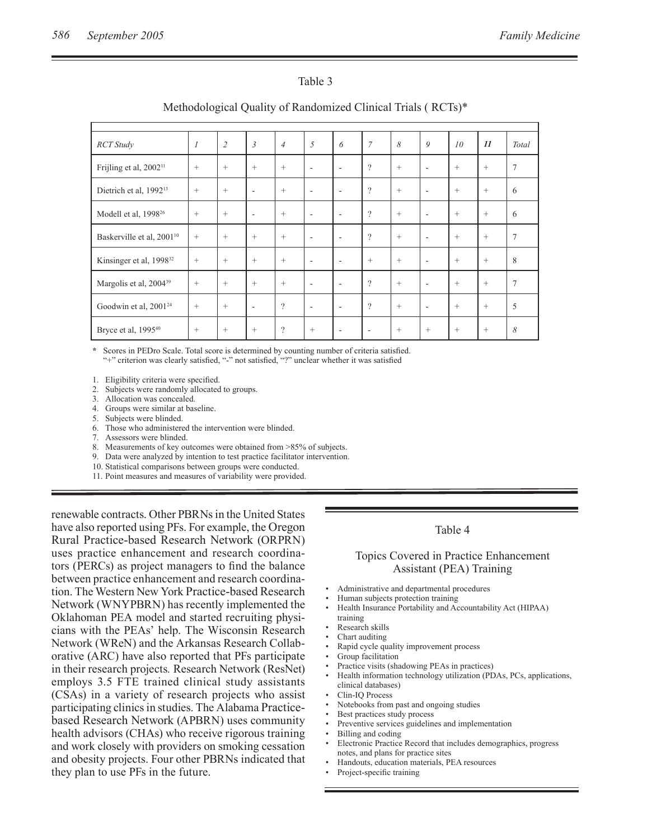#### Table 3

| <b>RCT</b> Study                      | $\mathcal{I}_{\mathcal{I}}$ | $\overline{2}$    | $\overline{3}$ | $\overline{4}$ | 5                        | 6                        | $\overline{7}$ | 8      | 9                        | 10     | 11     | Total          |
|---------------------------------------|-----------------------------|-------------------|----------------|----------------|--------------------------|--------------------------|----------------|--------|--------------------------|--------|--------|----------------|
| Frijling et al, 2002 <sup>11</sup>    | $+$                         | $^{+}$            | $^{+}$         | $^{+}$         | $\overline{\phantom{a}}$ | ٠                        | $\gamma$       | $+$    | ٠                        | $^{+}$ | $+$    | $\overline{7}$ |
| Dietrich et al, 1992 <sup>13</sup>    | $+$                         | $\qquad \qquad +$ | ٠              | $^{+}$         | $\overline{\phantom{a}}$ | $\overline{\phantom{a}}$ | $\gamma$       | $^{+}$ | ۰                        | $^{+}$ | $^{+}$ | 6              |
| Modell et al, 1998 <sup>26</sup>      | $+$                         | $\qquad \qquad +$ | $\sim$         | $+$            | $\overline{\phantom{a}}$ | $\overline{\phantom{a}}$ | $\gamma$       | $+$    | ٠                        | $^{+}$ | $^{+}$ | 6              |
| Baskerville et al, 2001 <sup>10</sup> | $+$                         | $^{+}$            | $^{+}$         | $+$            | $\overline{\phantom{a}}$ | $\overline{\phantom{a}}$ | $\gamma$       | $+$    | $\overline{\phantom{a}}$ | $^{+}$ | $^{+}$ | $\overline{7}$ |
| Kinsinger et al, 1998 <sup>32</sup>   | $+$                         | $^{+}$            | $^{+}$         | $^{+}$         | $\overline{\phantom{a}}$ | $\overline{\phantom{a}}$ | $^{+}$         | $+$    | $\overline{\phantom{a}}$ | $^{+}$ | $+$    | 8              |
| Margolis et al, 2004 <sup>39</sup>    | $+$                         | $^{+}$            | $^{+}$         | $^{+}$         | $\overline{\phantom{a}}$ | $\overline{\phantom{a}}$ | $\gamma$       | $+$    | $\overline{\phantom{a}}$ | $^{+}$ | $+$    | $\overline{7}$ |
| Goodwin et al, 2001 <sup>24</sup>     | $+$                         | $\qquad \qquad +$ | $\sim$         | $\gamma$       | $\overline{\phantom{a}}$ | $\overline{\phantom{a}}$ | $\gamma$       | $+$    | $\overline{\phantom{a}}$ | $^{+}$ | $+$    | 5              |
| Bryce et al, 1995 <sup>40</sup>       | $+$                         | $\qquad \qquad +$ | $^{+}$         | $\gamma$       | $^{+}$                   | ٠                        |                | $+$    | $^{+}$                   | $^{+}$ | $+$    | 8              |

### Methodological Quality of Randomized Clinical Trials ( RCTs)\*

Scores in PEDro Scale. Total score is determined by counting number of criteria satisfied. "+" criterion was clearly satisfied, "-" not satisfied, "?" unclear whether it was satisfied

1. Eligibility criteria were specified.

2. Subjects were randomly allocated to groups.

3. Allocation was concealed.<br>4 Groups were similar at has

Groups were similar at baseline.

5. Subjects were blinded.

6. Those who administered the intervention were blinded.

7. Assessors were blinded.

8. Measurements of key outcomes were obtained from >85% of subjects.

9. Data were analyzed by intention to test practice facilitator intervention.

10. Statistical comparisons between groups were conducted.

11. Point measures and measures of variability were provided.

renewable contracts. Other PBRNs in the United States have also reported using PFs. For example, the Oregon Rural Practice-based Research Network (ORPRN) uses practice enhancement and research coordinators (PERCs) as project managers to find the balance between practice enhancement and research coordination. The Western New York Practice-based Research Network (WNYPBRN) has recently implemented the Oklahoman PEA model and started recruiting physicians with the PEAs' help. The Wisconsin Research Network (WReN) and the Arkansas Research Collaborative (ARC) have also reported that PFs participate in their research projects*.* Research Network (ResNet) employs 3.5 FTE trained clinical study assistants (CSAs) in a variety of research projects who assist participating clinics in studies. The Alabama Practicebased Research Network (APBRN) uses community health advisors (CHAs) who receive rigorous training and work closely with providers on smoking cessation and obesity projects. Four other PBRNs indicated that they plan to use PFs in the future.

#### Table 4

#### Topics Covered in Practice Enhancement Assistant (PEA) Training

- Administrative and departmental procedures
- Human subjects protection training
- Health Insurance Portability and Accountability Act (HIPAA) training
- Research skills
- Chart auditing
- Rapid cycle quality improvement process
- Group facilitation
- Practice visits (shadowing PEAs in practices)
	- Health information technology utilization (PDAs, PCs, applications,
	- clinical databases)
	- Clin-IQ Process
- Notebooks from past and ongoing studies
- Best practices study process
- Preventive services guidelines and implementation
- Billing and coding
- Electronic Practice Record that includes demographics, progress notes, and plans for practice sites
- Handouts, education materials, PEA resources
- Project-specific training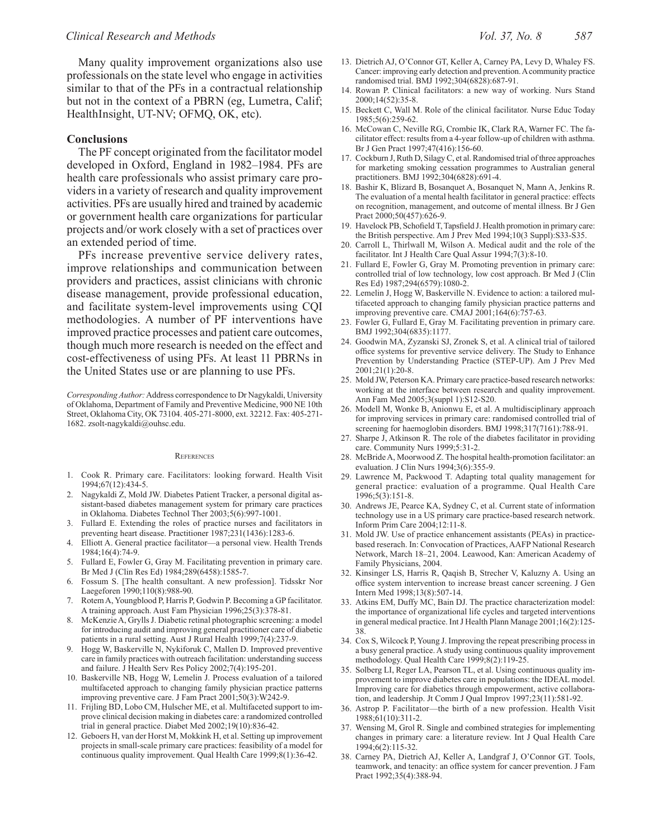Many quality improvement organizations also use professionals on the state level who engage in activities similar to that of the PFs in a contractual relationship but not in the context of a PBRN (eg, Lumetra, Calif; HealthInsight, UT-NV; OFMQ, OK, etc).

#### **Conclusions**

The PF concept originated from the facilitator model developed in Oxford, England in 1982–1984. PFs are health care professionals who assist primary care providers in a variety of research and quality improvement activities. PFs are usually hired and trained by academic or government health care organizations for particular projects and/or work closely with a set of practices over an extended period of time.

PFs increase preventive service delivery rates, improve relationships and communication between providers and practices, assist clinicians with chronic disease management, provide professional education, and facilitate system-level improvements using CQI methodologies. A number of PF interventions have improved practice processes and patient care outcomes, though much more research is needed on the effect and cost-effectiveness of using PFs. At least 11 PBRNs in the United States use or are planning to use PFs.

*Corresponding Author:* Address correspondence to Dr Nagykaldi, University of Oklahoma, Department of Family and Preventive Medicine, 900 NE 10th Street, Oklahoma City, OK 73104. 405-271-8000, ext. 32212. Fax: 405-271- 1682. zsolt-nagykaldi@ouhsc.edu.

#### **REFERENCES**

- 1. Cook R. Primary care. Facilitators: looking forward. Health Visit 1994;67(12):434-5.
- 2. Nagykaldi Z, Mold JW. Diabetes Patient Tracker, a personal digital assistant-based diabetes management system for primary care practices in Oklahoma. Diabetes Technol Ther 2003;5(6):997-1001.
- 3. Fullard E. Extending the roles of practice nurses and facilitators in preventing heart disease. Practitioner 1987;231(1436):1283-6.
- 4. Elliott A. General practice facilitator—a personal view. Health Trends  $1984 \cdot 16(4) \cdot 74 - 9$
- 5. Fullard E, Fowler G, Gray M. Facilitating prevention in primary care. Br Med J (Clin Res Ed) 1984;289(6458):1585-7.
- 6. Fossum S. [The health consultant. A new profession]. Tidsskr Nor Laegeforen 1990;110(8):988-90.
- 7. Rotem A, Youngblood P, Harris P, Godwin P. Becoming a GP facilitator. A training approach. Aust Fam Physician 1996;25(3):378-81.
- 8. McKenzie A, Grylls J. Diabetic retinal photographic screening: a model for introducing audit and improving general practitioner care of diabetic patients in a rural setting. Aust J Rural Health 1999;7(4):237-9.
- 9. Hogg W, Baskerville N, Nykiforuk C, Mallen D. Improved preventive care in family practices with outreach facilitation: understanding success and failure. J Health Serv Res Policy 2002;7(4):195-201.
- 10. Baskerville NB, Hogg W, Lemelin J. Process evaluation of a tailored multifaceted approach to changing family physician practice patterns improving preventive care. J Fam Pract 2001;50(3):W242-9.
- 11. Frijling BD, Lobo CM, Hulscher ME, et al. Multifaceted support to improve clinical decision making in diabetes care: a randomized controlled trial in general practice. Diabet Med 2002;19(10):836-42.
- 12. Geboers H, van der Horst M, Mokkink H, et al. Setting up improvement projects in small-scale primary care practices: feasibility of a model for continuous quality improvement. Qual Health Care 1999;8(1):36-42.
- 13. Dietrich AJ, O'Connor GT, Keller A, Carney PA, Levy D, Whaley FS. Cancer: improving early detection and prevention. A community practice randomised trial. BMJ 1992;304(6828):687-91.
- 14. Rowan P. Clinical facilitators: a new way of working. Nurs Stand 2000;14(52):35-8.
- 15. Beckett C, Wall M. Role of the clinical facilitator. Nurse Educ Today 1985;5(6):259-62.
- 16. McCowan C, Neville RG, Crombie IK, Clark RA, Warner FC. The facilitator effect: results from a 4-year follow-up of children with asthma. Br J Gen Pract 1997;47(416):156-60.
- 17. Cockburn J, Ruth D, Silagy C, et al. Randomised trial of three approaches for marketing smoking cessation programmes to Australian general practitioners. BMJ 1992;304(6828):691-4.
- 18. Bashir K, Blizard B, Bosanquet A, Bosanquet N, Mann A, Jenkins R. The evaluation of a mental health facilitator in general practice: effects on recognition, management, and outcome of mental illness. Br J Gen Pract 2000;50(457):626-9.
- 19. Havelock PB, Schofield T, Tapsfield J. Health promotion in primary care: the British perspective. Am J Prev Med 1994;10(3 Suppl):S33-S35.
- 20. Carroll L, Thirlwall M, Wilson A. Medical audit and the role of the facilitator. Int J Health Care Qual Assur 1994;7(3):8-10.
- 21. Fullard E, Fowler G, Gray M. Promoting prevention in primary care: controlled trial of low technology, low cost approach. Br Med J (Clin Res Ed) 1987;294(6579):1080-2.
- 22. Lemelin J, Hogg W, Baskerville N. Evidence to action: a tailored multifaceted approach to changing family physician practice patterns and improving preventive care. CMAJ 2001;164(6):757-63.
- 23. Fowler G, Fullard E, Gray M. Facilitating prevention in primary care. BMJ 1992;304(6835):1177.
- 24. Goodwin MA, Zyzanski SJ, Zronek S, et al. A clinical trial of tailored office systems for preventive service delivery. The Study to Enhance Prevention by Understanding Practice (STEP-UP). Am J Prev Med 2001;21(1):20-8.
- 25. Mold JW, Peterson KA. Primary care practice-based research networks: working at the interface between research and quality improvement. Ann Fam Med 2005;3(suppl 1):S12-S20.
- 26. Modell M, Wonke B, Anionwu E, et al. A multidisciplinary approach for improving services in primary care: randomised controlled trial of screening for haemoglobin disorders. BMJ 1998;317(7161):788-91.
- 27. Sharpe J, Atkinson R. The role of the diabetes facilitator in providing care. Community Nurs 1999;5:31-2.
- 28. McBride A, Moorwood Z. The hospital health-promotion facilitator: an evaluation. J Clin Nurs 1994;3(6):355-9.
- 29. Lawrence M, Packwood T. Adapting total quality management for general practice: evaluation of a programme. Qual Health Care 1996;5(3):151-8.
- 30. Andrews JE, Pearce KA, Sydney C, et al. Current state of information technology use in a US primary care practice-based research network. Inform Prim Care 2004;12:11-8.
- 31. Mold JW. Use of practice enhancement assistants (PEAs) in practicebased reserach. In: Convocation of Practices, AAFP National Research Network, March 18–21, 2004. Leawood, Kan: American Academy of Family Physicians, 2004.
- 32. Kinsinger LS, Harris R, Qaqish B, Strecher V, Kaluzny A. Using an office system intervention to increase breast cancer screening. J Gen Intern Med 1998;13(8):507-14.
- 33. Atkins EM, Duffy MC, Bain DJ. The practice characterization model: the importance of organizational life cycles and targeted interventions in general medical practice. Int J Health Plann Manage 2001;16(2):125- 38.
- 34. Cox S, Wilcock P, Young J. Improving the repeat prescribing process in a busy general practice. A study using continuous quality improvement methodology. Qual Health Care 1999;8(2):119-25.
- 35. Solberg LI, Reger LA, Pearson TL, et al. Using continuous quality improvement to improve diabetes care in populations: the IDEAL model. Improving care for diabetics through empowerment, active collaboration, and leadership. Jt Comm J Qual Improv 1997;23(11):581-92.
- 36. Astrop P. Facilitator—the birth of a new profession. Health Visit 1988;61(10):311-2.
- 37. Wensing M, Grol R. Single and combined strategies for implementing changes in primary care: a literature review. Int J Qual Health Care 1994;6(2):115-32.
- 38. Carney PA, Dietrich AJ, Keller A, Landgraf J, O'Connor GT. Tools, teamwork, and tenacity: an office system for cancer prevention. J Fam Pract 1992;35(4):388-94.